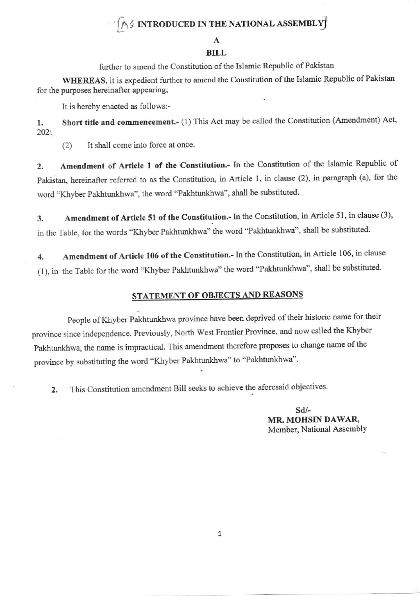# AS INTRODUCED IN THE NATIONAL ASSEMBLY

### **BILL**

further to amend the Constitution of the Islamic Republic of Pakistan

WHEREAS, it is expedient further to amend the Constitution of the Islamic Republic of Pakistan for the purposes hereinafter appearing;

It is hereby enacted as follows:-

Short title and commencement.- (1) This Act may be called the Constitution (Amendment) Act, 1.  $202$ 

It shall come into force at once.  $(2)$ 

Amendment of Article 1 of the Constitution.- In the Constitution of the Islamic Republic of  $\overline{2}$ . Pakistan, hereinafter referred to as the Constitution, in Article 1, in clause (2), in paragraph (a), for the word "Khyber Pakhtunkhwa", the word "Pakhtunkhwa", shall be substituted.

Amendment of Article 51 of the Constitution.- In the Constitution, in Article 51, in clause (3), 3. in the Table, for the words "Khyber Pakhtunkhwa" the word "Pakhtunkhwa", shall be substituted.

Amendment of Article 106 of the Constitution.- In the Constitution, in Article 106, in clause  $\overline{4}$ . (1), in the Table for the word "Khyber Pakhtunkhwa" the word "Pakhtunkhwa", shall be substituted.

## STATEMENT OF OBJECTS AND REASONS

People of Khyber Pakhtunkhwa province have been deprived of their historic name for their province since independence. Previously, North West Frontier Province, and now called the Khyber Pakhtunkhwa, the name is impractical. This amendment therefore proposes to change name of the province by substituting the word "Khyber Pakhtunkhwa" to "Pakhtunkhwa".

This Constitution amendment Bill seeks to achieve the aforesaid objectives.  $2.$ 

> $Sd/$ -MR. MOHSIN DAWAR, Member, National Assembly